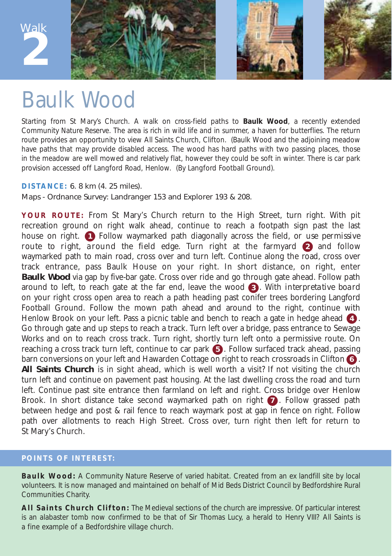

## Baulk Wood

Starting from St Mary's Church. A walk on cross-field paths to **Baulk Wood**, a recently extended Community Nature Reserve. The area is rich in wild life and in summer, a haven for butterflies. The return route provides an opportunity to view All Saints Church, Clifton. *(Baulk Wood and the adjoining meadow have paths that may provide disabled access. The wood has hard paths with two passing places, those in the meadow are well mowed and relatively flat, however they could be soft in winter. There is car park provision accessed off Langford Road, Henlow. (By Langford Football Ground).*

## **DISTANCE:** 6. 8 km (4. 25 miles).

Maps - Ordnance Survey: Landranger 153 and Explorer 193 & 208.

**YOUR ROUTE:** From St Mary's Church return to the High Street, turn right. With pit recreation ground on right walk ahead, continue to reach a footpath sign past the last house on right. **1** Follow waymarked path diagonally across the field, *or use permissive route to right, around the field edge*. Turn right at the farmyard  $\bullet$  and follow waymarked path to main road, cross over and turn left. Continue along the road, cross over track entrance, pass Baulk House on your right. In short distance, on right, enter **Baulk Wood** via gap by five-bar gate. Cross over ride and go through gate ahead. Follow path around to left, to reach gate at the far end, leave the wood (3). With *interpretative board* on your right cross open area to reach a path heading past conifer trees bordering Langford Football Ground. Follow the mown path ahead and around to the right, continue with Henlow Brook on your left. Pass a picnic table and bench to reach a gate in hedge ahead (4). Go through gate and up steps to reach a track. Turn left over a bridge, pass entrance to Sewage Works and on to reach cross track. Turn right, shortly turn left onto a permissive route. On reaching a cross track turn left, continue to car park (5). Follow surfaced track ahead, passing **barn conversions on your left and Hawarden Cottage on right to reach crossroads in Clifton <b>6** . **All Saints Church** is in sight ahead, which is well worth a visit? If not visiting the church turn left and continue on pavement past housing. At the last dwelling cross the road and turn left. Continue past site entrance then farmland on left and right. Cross bridge over Henlow Brook. In short distance take second waymarked path on right **7**. Follow grassed path between hedge and post & rail fence to reach waymark post at gap in fence on right. Follow path over allotments to reach High Street. Cross over, turn right then left for return to St Mary's Church.

## **POINTS OF INTEREST:**

**Baulk Wood:** A Community Nature Reserve of varied habitat. Created from an ex landfill site by local volunteers. It is now managed and maintained on behalf of Mid Beds District Council by Bedfordshire Rural Communities Charity.

**All Saints Church Clifton:** The Medieval sections of the church are impressive. Of particular interest is an alabaster tomb now confirmed to be that of Sir Thomas Lucy, a herald to Henry VIII? All Saints is a fine example of a Bedfordshire village church.